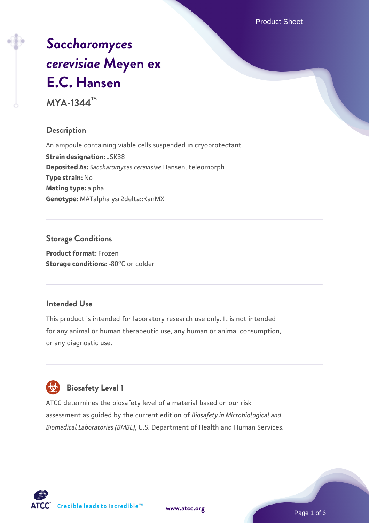Product Sheet

# *[Saccharomyces](https://www.atcc.org/products/mya-1344) [cerevisiae](https://www.atcc.org/products/mya-1344)* **[Meyen ex](https://www.atcc.org/products/mya-1344) [E.C. Hansen](https://www.atcc.org/products/mya-1344)**

**MYA-1344™**

# **Description**

An ampoule containing viable cells suspended in cryoprotectant. **Strain designation:** JSK38 **Deposited As:** *Saccharomyces cerevisiae* Hansen, teleomorph **Type strain:** No **Mating type:** alpha **Genotype:** MATalpha ysr2delta::KanMX

# **Storage Conditions**

**Product format:** Frozen **Storage conditions: -80°C or colder** 

# **Intended Use**

This product is intended for laboratory research use only. It is not intended for any animal or human therapeutic use, any human or animal consumption, or any diagnostic use.

# **Biosafety Level 1**

ATCC determines the biosafety level of a material based on our risk assessment as guided by the current edition of *Biosafety in Microbiological and Biomedical Laboratories (BMBL)*, U.S. Department of Health and Human Services.

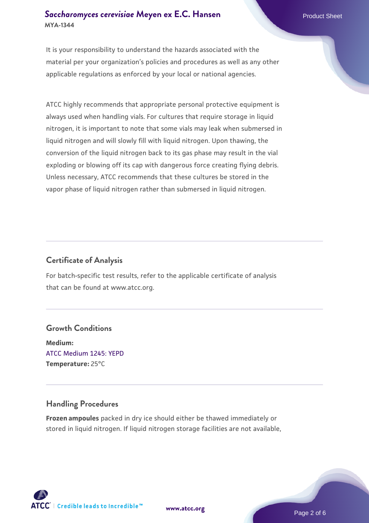## **[Saccharomyces cerevisiae](https://www.atcc.org/products/mya-1344)** [Meyen ex E.C. Hansen](https://www.atcc.org/products/mya-1344) **MYA-1344**

It is your responsibility to understand the hazards associated with the material per your organization's policies and procedures as well as any other applicable regulations as enforced by your local or national agencies.

ATCC highly recommends that appropriate personal protective equipment is always used when handling vials. For cultures that require storage in liquid nitrogen, it is important to note that some vials may leak when submersed in liquid nitrogen and will slowly fill with liquid nitrogen. Upon thawing, the conversion of the liquid nitrogen back to its gas phase may result in the vial exploding or blowing off its cap with dangerous force creating flying debris. Unless necessary, ATCC recommends that these cultures be stored in the vapor phase of liquid nitrogen rather than submersed in liquid nitrogen.

# **Certificate of Analysis**

For batch-specific test results, refer to the applicable certificate of analysis that can be found at www.atcc.org.

# **Growth Conditions**

**Medium:**  [ATCC Medium 1245: YEPD](https://www.atcc.org/-/media/product-assets/documents/microbial-media-formulations/1/2/4/5/atcc-medium-1245.pdf?rev=705ca55d1b6f490a808a965d5c072196) **Temperature:** 25°C

# **Handling Procedures**

**Frozen ampoules** packed in dry ice should either be thawed immediately or stored in liquid nitrogen. If liquid nitrogen storage facilities are not available,

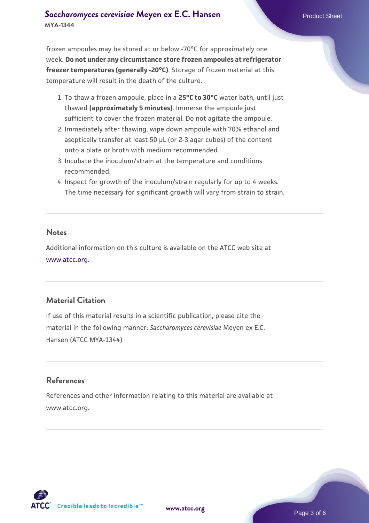# **[Saccharomyces cerevisiae](https://www.atcc.org/products/mya-1344)** [Meyen ex E.C. Hansen](https://www.atcc.org/products/mya-1344) **MYA-1344**

frozen ampoules may be stored at or below -70°C for approximately one week. **Do not under any circumstance store frozen ampoules at refrigerator freezer temperatures (generally -20°C)**. Storage of frozen material at this temperature will result in the death of the culture.

- 1. To thaw a frozen ampoule, place in a **25°C to 30°C** water bath, until just thawed **(approximately 5 minutes)**. Immerse the ampoule just sufficient to cover the frozen material. Do not agitate the ampoule.
- 2. Immediately after thawing, wipe down ampoule with 70% ethanol and aseptically transfer at least 50 µL (or 2-3 agar cubes) of the content onto a plate or broth with medium recommended.
- 3. Incubate the inoculum/strain at the temperature and conditions recommended.
- 4. Inspect for growth of the inoculum/strain regularly for up to 4 weeks. The time necessary for significant growth will vary from strain to strain.

#### **Notes**

Additional information on this culture is available on the ATCC web site at [www.atcc.org.](http://www.atcc.org/)

# **Material Citation**

If use of this material results in a scientific publication, please cite the material in the following manner: *Saccharomyces cerevisiae* Meyen ex E.C. Hansen (ATCC MYA-1344)

# **References**

References and other information relating to this material are available at www.atcc.org.

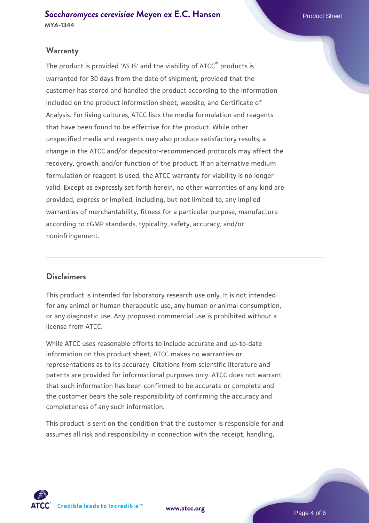# **Warranty**

The product is provided 'AS IS' and the viability of ATCC® products is warranted for 30 days from the date of shipment, provided that the customer has stored and handled the product according to the information included on the product information sheet, website, and Certificate of Analysis. For living cultures, ATCC lists the media formulation and reagents that have been found to be effective for the product. While other unspecified media and reagents may also produce satisfactory results, a change in the ATCC and/or depositor-recommended protocols may affect the recovery, growth, and/or function of the product. If an alternative medium formulation or reagent is used, the ATCC warranty for viability is no longer valid. Except as expressly set forth herein, no other warranties of any kind are provided, express or implied, including, but not limited to, any implied warranties of merchantability, fitness for a particular purpose, manufacture according to cGMP standards, typicality, safety, accuracy, and/or noninfringement.

#### **Disclaimers**

This product is intended for laboratory research use only. It is not intended for any animal or human therapeutic use, any human or animal consumption, or any diagnostic use. Any proposed commercial use is prohibited without a license from ATCC.

While ATCC uses reasonable efforts to include accurate and up-to-date information on this product sheet, ATCC makes no warranties or representations as to its accuracy. Citations from scientific literature and patents are provided for informational purposes only. ATCC does not warrant that such information has been confirmed to be accurate or complete and the customer bears the sole responsibility of confirming the accuracy and completeness of any such information.

This product is sent on the condition that the customer is responsible for and assumes all risk and responsibility in connection with the receipt, handling,



**[www.atcc.org](http://www.atcc.org)**

Page 4 of 6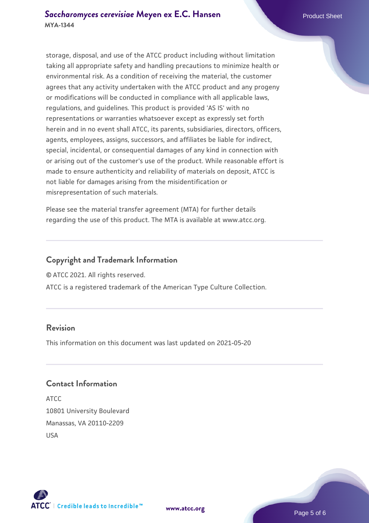storage, disposal, and use of the ATCC product including without limitation taking all appropriate safety and handling precautions to minimize health or environmental risk. As a condition of receiving the material, the customer agrees that any activity undertaken with the ATCC product and any progeny or modifications will be conducted in compliance with all applicable laws, regulations, and guidelines. This product is provided 'AS IS' with no representations or warranties whatsoever except as expressly set forth herein and in no event shall ATCC, its parents, subsidiaries, directors, officers, agents, employees, assigns, successors, and affiliates be liable for indirect, special, incidental, or consequential damages of any kind in connection with or arising out of the customer's use of the product. While reasonable effort is made to ensure authenticity and reliability of materials on deposit, ATCC is not liable for damages arising from the misidentification or misrepresentation of such materials.

Please see the material transfer agreement (MTA) for further details regarding the use of this product. The MTA is available at www.atcc.org.

# **Copyright and Trademark Information**

© ATCC 2021. All rights reserved.

ATCC is a registered trademark of the American Type Culture Collection.

# **Revision**

This information on this document was last updated on 2021-05-20

### **Contact Information**

ATCC 10801 University Boulevard Manassas, VA 20110-2209 USA